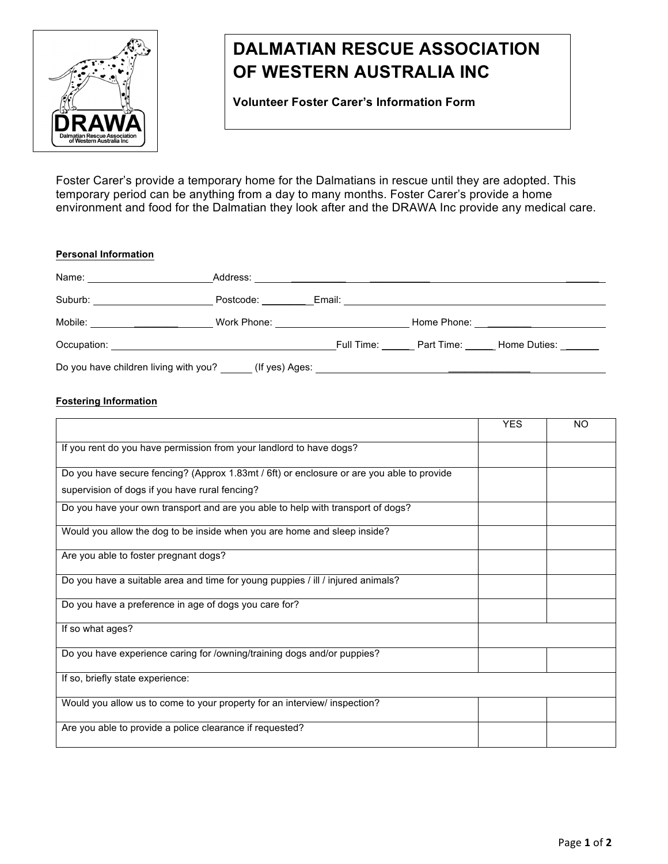

## **DALMATIAN RESCUE ASSOCIATION**   **OF WESTERN AUSTRALIA INC**

 **Volunteer Foster Carer's Information Form**

Foster Carer's provide a temporary home for the Dalmatians in rescue until they are adopted. This temporary period can be anything from a day to many months. Foster Carer's provide a home environment and food for the Dalmatian they look after and the DRAWA Inc provide any medical care.

| <b>Personal Information</b>           |                |                                                                                                                                                                                                                                |                                                      |
|---------------------------------------|----------------|--------------------------------------------------------------------------------------------------------------------------------------------------------------------------------------------------------------------------------|------------------------------------------------------|
| Name: _______________________         |                |                                                                                                                                                                                                                                |                                                      |
| Suburb: _______________________       |                | Postcode: Email: Email: Email: Email: Email: Email: Email: Email: Email: Email: Email: Email: Email: Email: Email: Email: Email: Email: Email: Email: Email: Email: Email: Email: Email: Email: Email: Email: Email: Email: Em |                                                      |
|                                       |                | Work Phone: <u>_________________</u>                                                                                                                                                                                           | Home Phone: <u>_________________________________</u> |
|                                       |                |                                                                                                                                                                                                                                | Full Time: Part Time: Home Duties:                   |
| Do you have children living with you? | (If yes) Ages: |                                                                                                                                                                                                                                |                                                      |

## **Fostering Information**

|                                                                                           | <b>YES</b> | NΟ |
|-------------------------------------------------------------------------------------------|------------|----|
| If you rent do you have permission from your landlord to have dogs?                       |            |    |
| Do you have secure fencing? (Approx 1.83mt / 6ft) or enclosure or are you able to provide |            |    |
| supervision of dogs if you have rural fencing?                                            |            |    |
| Do you have your own transport and are you able to help with transport of dogs?           |            |    |
| Would you allow the dog to be inside when you are home and sleep inside?                  |            |    |
| Are you able to foster pregnant dogs?                                                     |            |    |
| Do you have a suitable area and time for young puppies / ill / injured animals?           |            |    |
| Do you have a preference in age of dogs you care for?                                     |            |    |
| If so what ages?                                                                          |            |    |
| Do you have experience caring for /owning/training dogs and/or puppies?                   |            |    |
| If so, briefly state experience:                                                          |            |    |
| Would you allow us to come to your property for an interview/ inspection?                 |            |    |
| Are you able to provide a police clearance if requested?                                  |            |    |